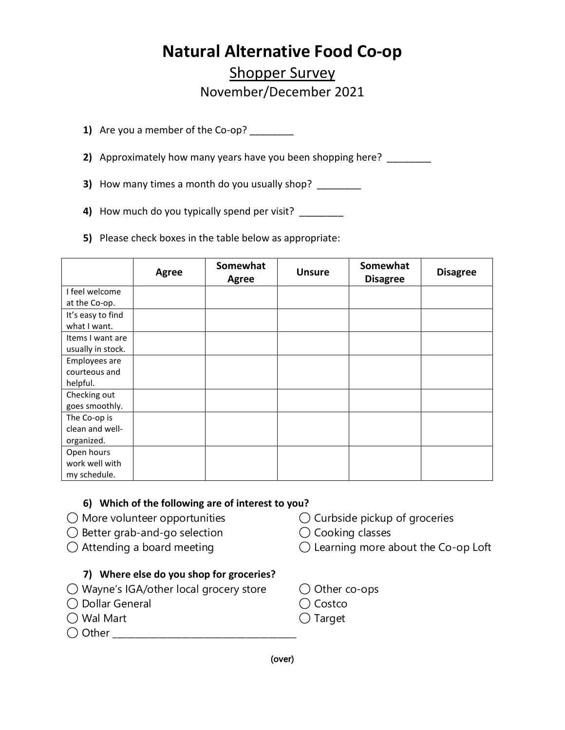## **Natural Alternative Food Co-op**

### Shopper Survey November/December 2021

- **1)** Are you a member of the Co-op?
- **2)** Approximately how many years have you been shopping here? \_\_\_\_\_\_\_\_
- **3)** How many times a month do you usually shop? \_\_\_\_\_\_\_\_
- **4)** How much do you typically spend per visit? \_\_\_\_\_\_\_\_
- **5)** Please check boxes in the table below as appropriate:

|                   | <b>Agree</b> | Somewhat<br><b>Agree</b> | <b>Unsure</b> | Somewhat<br><b>Disagree</b> | <b>Disagree</b> |
|-------------------|--------------|--------------------------|---------------|-----------------------------|-----------------|
| I feel welcome    |              |                          |               |                             |                 |
| at the Co-op.     |              |                          |               |                             |                 |
| It's easy to find |              |                          |               |                             |                 |
| what I want.      |              |                          |               |                             |                 |
| Items I want are  |              |                          |               |                             |                 |
| usually in stock. |              |                          |               |                             |                 |
| Employees are     |              |                          |               |                             |                 |
| courteous and     |              |                          |               |                             |                 |
| helpful.          |              |                          |               |                             |                 |
| Checking out      |              |                          |               |                             |                 |
| goes smoothly.    |              |                          |               |                             |                 |
| The Co-op is      |              |                          |               |                             |                 |
| clean and well-   |              |                          |               |                             |                 |
| organized.        |              |                          |               |                             |                 |
| Open hours        |              |                          |               |                             |                 |
| work well with    |              |                          |               |                             |                 |
| my schedule.      |              |                          |               |                             |                 |

#### **6) Which of the following are of interest to you?**

- $\bigcirc$  More volunteer opportunities  $\bigcirc$  Curbside pickup of groceries
- ◯ Better grab-and-go selection ◯ Cooking classes
- 

#### **7) Where else do you shop for groceries?**

- ◯ Wayne's IGA/other local grocery store ◯ Other co-ops
- ◯ Dollar General ◯ Costco
- ◯ Wal Mart ◯ Target
- ◯ Other \_\_\_\_\_\_\_\_\_\_\_\_\_\_\_\_\_\_\_\_\_\_\_\_\_\_\_\_\_\_\_\_\_\_\_\_\_\_\_\_
- 
- 
- ◯ Attending a board meeting ◯ Learning more about the Co-op Loft
	-
	-
	-